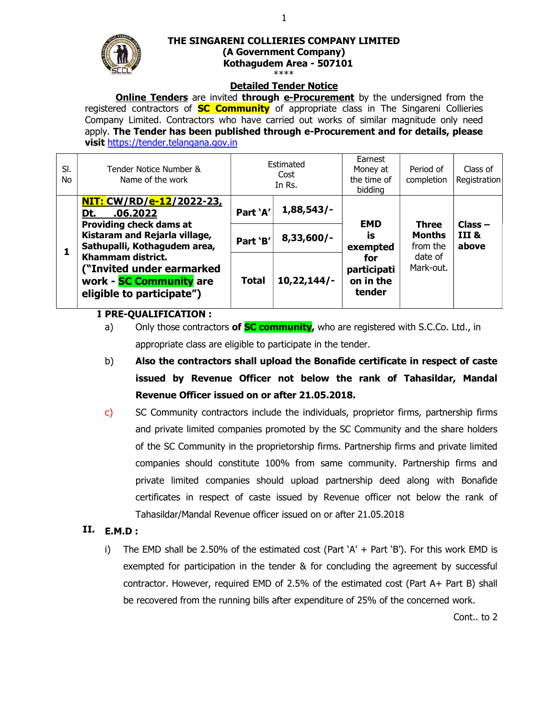

# THE SINGARENI COLLIERIES COMPANY LIMITED (A Government Company) Kothagudem Area - 507101

## Detailed Tender Notice

**Online Tenders** are invited **through e-Procurement** by the undersigned from the registered contractors of **SC Community** of appropriate class in The Singareni Collieries Company Limited. Contractors who have carried out works of similar magnitude only need apply. The Tender has been published through e-Procurement and for details, please visit https://tender.telangana.gov.in

|  | SI.<br>No. | Tender Notice Number &<br>Name of the work                                                                                                                                                                                                                      |              | Estimated<br>Cost<br>In Rs. | Earnest<br>Money at<br>the time of<br>bidding | Period of<br>completion                                           | Class of<br>Registration    |
|--|------------|-----------------------------------------------------------------------------------------------------------------------------------------------------------------------------------------------------------------------------------------------------------------|--------------|-----------------------------|-----------------------------------------------|-------------------------------------------------------------------|-----------------------------|
|  |            | <u>NIT: CW/RD/e-12/2022-23,</u><br>.06.2022<br>Dt.<br><b>Providing check dams at</b><br>Kistaram and Rejarla village,<br>Sathupalli, Kothagudem area,<br>Khammam district.<br>("Invited under earmarked<br>work - SC Community are<br>eligible to participate") | Part 'A'     | $1,88,543/-$                | <b>EMD</b>                                    | <b>Three</b><br><b>Months</b><br>from the<br>date of<br>Mark-out. | $Class -$<br>III &<br>above |
|  |            |                                                                                                                                                                                                                                                                 | Part 'B'     | $8,33,600$ /-               | İS<br>exempted                                |                                                                   |                             |
|  |            |                                                                                                                                                                                                                                                                 | <b>Total</b> | 10,22,144/                  | for<br>participati<br>on in the<br>tender     |                                                                   |                             |

#### I. PRE-QUALIFICATION :

a) Only those contractors of **SC community**, who are registered with S.C.Co. Ltd., in appropriate class are eligible to participate in the tender.

- b) Also the contractors shall upload the Bonafide certificate in respect of caste issued by Revenue Officer not below the rank of Tahasildar, Mandal Revenue Officer issued on or after 21.05.2018.
- c) SC Community contractors include the individuals, proprietor firms, partnership firms and private limited companies promoted by the SC Community and the share holders of the SC Community in the proprietorship firms. Partnership firms and private limited companies should constitute 100% from same community. Partnership firms and private limited companies should upload partnership deed along with Bonafide certificates in respect of caste issued by Revenue officer not below the rank of Tahasildar/Mandal Revenue officer issued on or after 21.05.2018

### II. E.M.D :

i) The EMD shall be 2.50% of the estimated cost (Part  $A' + Part B'$ ). For this work EMD is exempted for participation in the tender & for concluding the agreement by successful contractor. However, required EMD of 2.5% of the estimated cost (Part A+ Part B) shall be recovered from the running bills after expenditure of 25% of the concerned work.

Cont.. to 2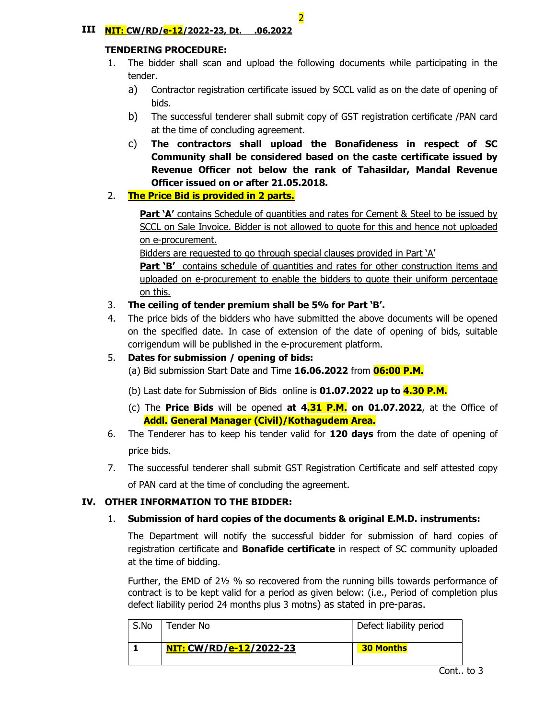#### III NIT: CW/RD/e-12/2022-23, Dt. .06.2022

#### TENDERING PROCEDURE:

- 1. The bidder shall scan and upload the following documents while participating in the tender.
	- a) Contractor registration certificate issued by SCCL valid as on the date of opening of bids.
	- b) The successful tenderer shall submit copy of GST registration certificate /PAN card at the time of concluding agreement.
	- c) The contractors shall upload the Bonafideness in respect of SC Community shall be considered based on the caste certificate issued by Revenue Officer not below the rank of Tahasildar, Mandal Revenue Officer issued on or after 21.05.2018.

### 2. The Price Bid is provided in 2 parts.

Part 'A' contains Schedule of quantities and rates for Cement & Steel to be issued by SCCL on Sale Invoice. Bidder is not allowed to quote for this and hence not uploaded on e-procurement.

Bidders are requested to go through special clauses provided in Part 'A'

**Part 'B'** contains schedule of quantities and rates for other construction items and uploaded on e-procurement to enable the bidders to quote their uniform percentage on this.

- 3. The ceiling of tender premium shall be 5% for Part 'B'.
- 4. The price bids of the bidders who have submitted the above documents will be opened on the specified date. In case of extension of the date of opening of bids, suitable corrigendum will be published in the e-procurement platform.
- 5. Dates for submission / opening of bids: (a) Bid submission Start Date and Time 16.06.2022 from 06:00 P.M.

(b) Last date for Submission of Bids online is  $01.07.2022$  up to  $4.30$  P.M.

- (c) The **Price Bids** will be opened **at**  $4.31$  **P.M. on 01.07.2022**, at the Office of Addl. General Manager (Civil)/Kothagudem Area.
- 6. The Tenderer has to keep his tender valid for 120 days from the date of opening of price bids.
- 7. The successful tenderer shall submit GST Registration Certificate and self attested copy of PAN card at the time of concluding the agreement.

### IV. OTHER INFORMATION TO THE BIDDER:

### 1. Submission of hard copies of the documents & original E.M.D. instruments:

The Department will notify the successful bidder for submission of hard copies of registration certificate and **Bonafide certificate** in respect of SC community uploaded at the time of bidding.

Further, the EMD of 2½ % so recovered from the running bills towards performance of contract is to be kept valid for a period as given below: (i.e., Period of completion plus defect liability period 24 months plus 3 motns) as stated in pre-paras.

| S.No | Tender No                      | Defect liability period |
|------|--------------------------------|-------------------------|
|      | <u>NIT: CW/RD/e-12/2022-23</u> | <b>30 Months</b>        |